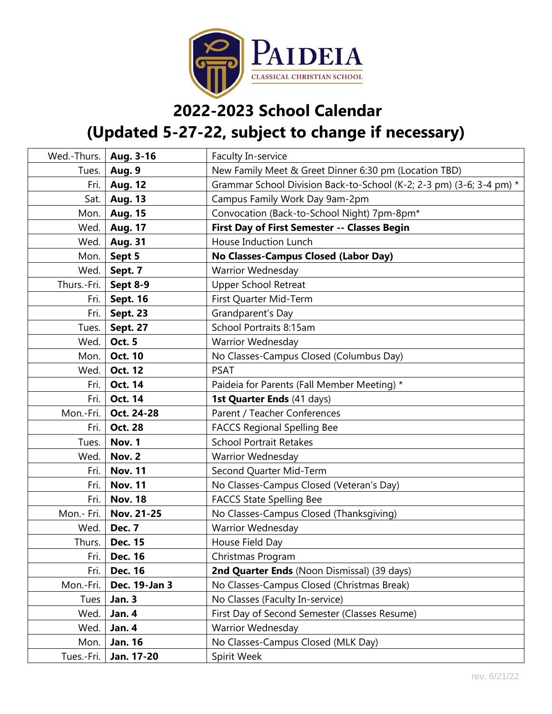

## **2022-2023 School Calendar**

## **(Updated 5-27-22, subject to change if necessary)**

| Wed.-Thurs. | Aug. 3-16       | Faculty In-service                                                   |
|-------------|-----------------|----------------------------------------------------------------------|
| Tues.       | <b>Aug. 9</b>   | New Family Meet & Greet Dinner 6:30 pm (Location TBD)                |
| Fri.        | <b>Aug. 12</b>  | Grammar School Division Back-to-School (K-2; 2-3 pm) (3-6; 3-4 pm) * |
| Sat.        | <b>Aug. 13</b>  | Campus Family Work Day 9am-2pm                                       |
| Mon.        | <b>Aug. 15</b>  | Convocation (Back-to-School Night) 7pm-8pm*                          |
| Wed.        | <b>Aug. 17</b>  | First Day of First Semester -- Classes Begin                         |
| Wed.        | <b>Aug. 31</b>  | House Induction Lunch                                                |
| Mon.        | Sept 5          | No Classes-Campus Closed (Labor Day)                                 |
| Wed.        | Sept. 7         | Warrior Wednesday                                                    |
| Thurs.-Fri. | Sept 8-9        | <b>Upper School Retreat</b>                                          |
| Fri.        | <b>Sept. 16</b> | First Quarter Mid-Term                                               |
| Fri.        | <b>Sept. 23</b> | Grandparent's Day                                                    |
| Tues.       | <b>Sept. 27</b> | School Portraits 8:15am                                              |
| Wed.        | <b>Oct. 5</b>   | <b>Warrior Wednesday</b>                                             |
| Mon.        | <b>Oct. 10</b>  | No Classes-Campus Closed (Columbus Day)                              |
| Wed.        | <b>Oct. 12</b>  | <b>PSAT</b>                                                          |
| Fri.        | Oct. 14         | Paideia for Parents (Fall Member Meeting) *                          |
| Fri.        | Oct. 14         | 1st Quarter Ends (41 days)                                           |
| Mon.-Fri.   | Oct. 24-28      | Parent / Teacher Conferences                                         |
| Fri.        | <b>Oct. 28</b>  | <b>FACCS Regional Spelling Bee</b>                                   |
| Tues.       | Nov. 1          | <b>School Portrait Retakes</b>                                       |
| Wed.        | Nov. 2          | <b>Warrior Wednesday</b>                                             |
| Fri.        | <b>Nov. 11</b>  | Second Quarter Mid-Term                                              |
| Fri.        | <b>Nov. 11</b>  | No Classes-Campus Closed (Veteran's Day)                             |
| Fri.        | <b>Nov. 18</b>  | <b>FACCS State Spelling Bee</b>                                      |
| Mon.- Fri.  | Nov. 21-25      | No Classes-Campus Closed (Thanksgiving)                              |
| Wed.        | Dec. 7          | <b>Warrior Wednesday</b>                                             |
| Thurs.      | <b>Dec. 15</b>  | House Field Day                                                      |
| Fri.        | <b>Dec. 16</b>  | Christmas Program                                                    |
| Fri.        | <b>Dec. 16</b>  | 2nd Quarter Ends (Noon Dismissal) (39 days)                          |
| Mon.-Fri.   | Dec. 19-Jan 3   | No Classes-Campus Closed (Christmas Break)                           |
| Tues        | <b>Jan. 3</b>   | No Classes (Faculty In-service)                                      |
| Wed.        | Jan. 4          | First Day of Second Semester (Classes Resume)                        |
| Wed.        | Jan. 4          | Warrior Wednesday                                                    |
| Mon.        | <b>Jan. 16</b>  | No Classes-Campus Closed (MLK Day)                                   |
| Tues.-Fri.  | Jan. 17-20      | Spirit Week                                                          |